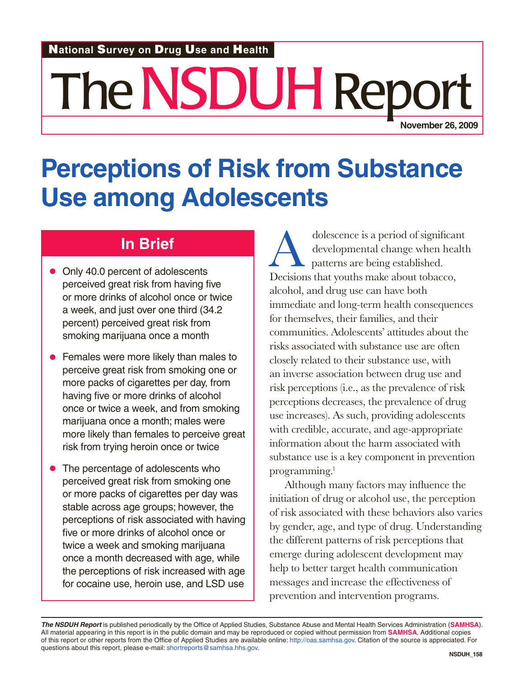#### N**ational** S**urvey on** D**rug** U**se and** H**ealth**

# The NSDUH Repo **November 26, 2009**

## **Perceptions of Risk from Substance Use among Adolescents**

### **In Brief**

- Only 40.0 percent of adolescents perceived great risk from having five or more drinks of alcohol once or twice a week, and just over one third (34.2 percent) perceived great risk from smoking marijuana once a month
- Females were more likely than males to perceive great risk from smoking one or more packs of cigarettes per day, from having five or more drinks of alcohol once or twice a week, and from smoking marijuana once a month; males were more likely than females to perceive great risk from trying heroin once or twice
- The percentage of adolescents who perceived great risk from smoking one or more packs of cigarettes per day was stable across age groups; however, the perceptions of risk associated with having five or more drinks of alcohol once or twice a week and smoking marijuana once a month decreased with age, while the perceptions of risk increased with age for cocaine use, heroin use, and LSD use

dolescence is a period of significant<br>developmental change when healt<br>patterns are being established.<br>Decisions that youths make about tobacco developmental change when health patterns are being established. Decisions that youths make about tobacco, alcohol, and drug use can have both immediate and long-term health consequences for themselves, their families, and their communities. Adolescents' attitudes about the risks associated with substance use are often closely related to their substance use, with an inverse association between drug use and risk perceptions (i.e., as the prevalence of risk perceptions decreases, the prevalence of drug use increases). As such, providing adolescents with credible, accurate, and age-appropriate information about the harm associated with substance use is a key component in prevention programming.<sup>1</sup>

Although many factors may influence the initiation of drug or alcohol use, the perception of risk associated with these behaviors also varies by gender, age, and type of drug. Understanding the different patterns of risk perceptions that emerge during adolescent development may help to better target health communication messages and increase the effectiveness of prevention and intervention programs.

*The NSDUH Report* is published periodically by the Office of Applied Studies, Substance Abuse and Mental Health Services Administration (**SAMHSA**). All material appearing in this report is in the public domain and may be reproduced or copied without permission from **SAMHSA**. Additional copies of this report or other reports from the Office of Applied Studies are available online: http://oas.samhsa.gov. Citation of the source is appreciated. For questions about this report, please e-mail: shortreports@samhsa.hhs.gov.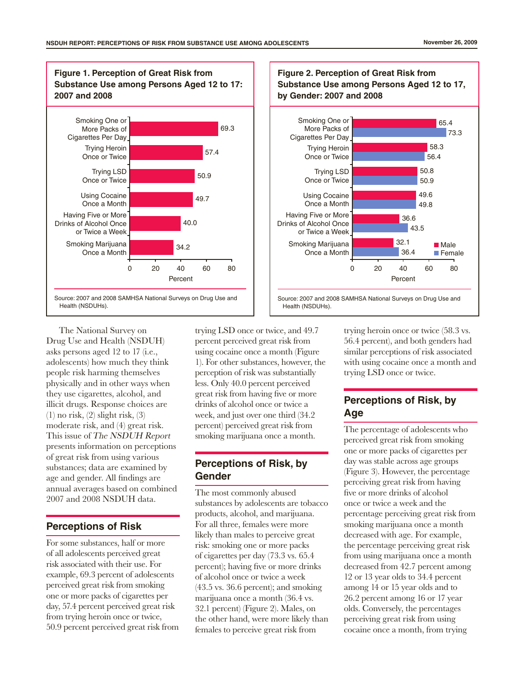

The National Survey on Drug Use and Health (NSDUH) asks persons aged 12 to 17 (i.e., adolescents) how much they think people risk harming themselves physically and in other ways when they use cigarettes, alcohol, and illicit drugs. Response choices are  $(1)$  no risk,  $(2)$  slight risk,  $(3)$ moderate risk, and (4) great risk. This issue of The NSDUH Report presents information on perceptions of great risk from using various substances; data are examined by age and gender. All findings are annual averages based on combined 2007 and 2008 NSDUH data.

#### **Perceptions of Risk**

For some substances, half or more of all adolescents perceived great risk associated with their use. For example, 69.3 percent of adolescents perceived great risk from smoking one or more packs of cigarettes per day, 57.4 percent perceived great risk from trying heroin once or twice, 50.9 percent perceived great risk from trying LSD once or twice, and 49.7 percent perceived great risk from using cocaine once a month (Figure 1). For other substances, however, the perception of risk was substantially less. Only 40.0 percent perceived great risk from having five or more drinks of alcohol once or twice a week, and just over one third (34.2 percent) perceived great risk from smoking marijuana once a month.

#### **Perceptions of Risk, by Gender**

The most commonly abused substances by adolescents are tobacco products, alcohol, and marijuana. For all three, females were more likely than males to perceive great risk: smoking one or more packs of cigarettes per day (73.3 vs. 65.4 percent); having five or more drinks of alcohol once or twice a week (43.5 vs. 36.6 percent); and smoking marijuana once a month (36.4 vs. 32.1 percent) (Figure 2). Males, on the other hand, were more likely than females to perceive great risk from



trying heroin once or twice (58.3 vs. 56.4 percent), and both genders had similar perceptions of risk associated with using cocaine once a month and trying LSD once or twice.

#### **Perceptions of Risk, by Age**

The percentage of adolescents who perceived great risk from smoking one or more packs of cigarettes per day was stable across age groups (Figure 3). However, the percentage perceiving great risk from having five or more drinks of alcohol once or twice a week and the percentage perceiving great risk from smoking marijuana once a month decreased with age. For example, the percentage perceiving great risk from using marijuana once a month decreased from 42.7 percent among 12 or 13 year olds to 34.4 percent among 14 or 15 year olds and to 26.2 percent among 16 or 17 year olds. Conversely, the percentages perceiving great risk from using cocaine once a month, from trying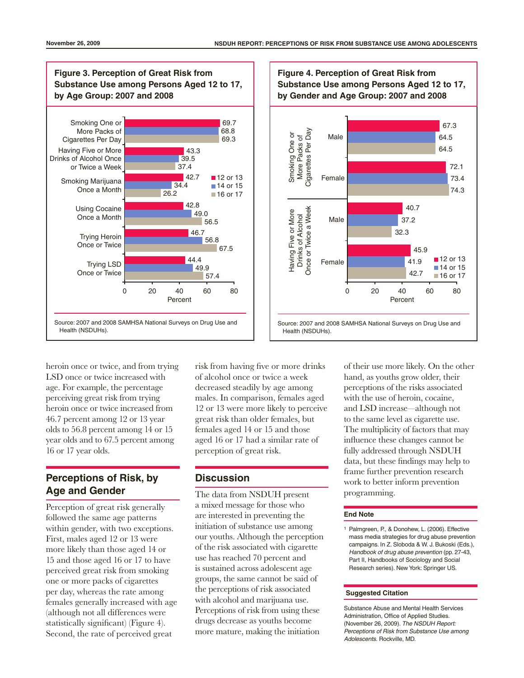

heroin once or twice, and from trying LSD once or twice increased with age. For example, the percentage perceiving great risk from trying heroin once or twice increased from 46.7 percent among 12 or 13 year olds to 56.8 percent among 14 or 15 year olds and to 67.5 percent among 16 or 17 year olds.

#### **Perceptions of Risk, by Age and Gender**

Perception of great risk generally followed the same age patterns within gender, with two exceptions. First, males aged 12 or 13 were more likely than those aged 14 or 15 and those aged 16 or 17 to have perceived great risk from smoking one or more packs of cigarettes per day, whereas the rate among females generally increased with age (although not all differences were statistically significant) (Figure 4). Second, the rate of perceived great

risk from having five or more drinks of alcohol once or twice a week decreased steadily by age among males. In comparison, females aged 12 or 13 were more likely to perceive great risk than older females, but females aged 14 or 15 and those aged 16 or 17 had a similar rate of perception of great risk.

#### **Discussion**

The data from NSDUH present a mixed message for those who are interested in preventing the initiation of substance use among our youths. Although the perception of the risk associated with cigarette use has reached 70 percent and is sustained across adolescent age groups, the same cannot be said of the perceptions of risk associated with alcohol and marijuana use. Perceptions of risk from using these drugs decrease as youths become more mature, making the initiation



of their use more likely. On the other hand, as youths grow older, their perceptions of the risks associated with the use of heroin, cocaine, and LSD increase—although not to the same level as cigarette use. The multiplicity of factors that may influence these changes cannot be fully addressed through NSDUH data, but these findings may help to frame further prevention research work to better inform prevention programming.

#### **End Note**

<sup>1</sup> Palmgreen, P., & Donohew, L. (2006). Effective mass media strategies for drug abuse prevention campaigns. In Z. Sloboda & W. J. Bukoski (Eds.), *Handbook of drug abuse prevention* (pp. 27-43, Part II, Handbooks of Sociology and Social Research series). New York: Springer US.

#### **Suggested Citation**

Substance Abuse and Mental Health Services Administration, Office of Applied Studies. (November 26, 2009). *The NSDUH Report: Perceptions of Risk from Substance Use among Adolescents.* Rockville, MD.